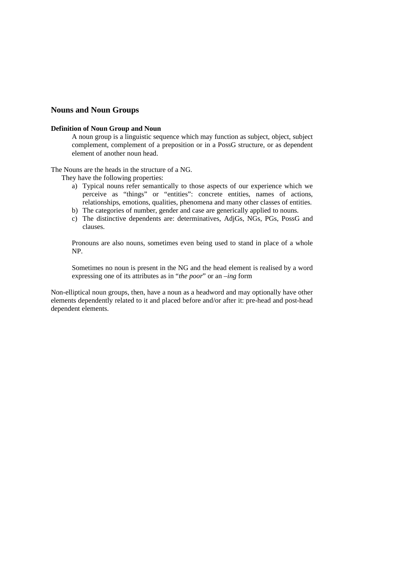# **Nouns and Noun Groups**

### **Definition of Noun Group and Noun**

A noun group is a linguistic sequence which may function as subject, object, subject complement, complement of a preposition or in a PossG structure, or as dependent element of another noun head.

The Nouns are the heads in the structure of a NG.

They have the following properties:

- a) Typical nouns refer semantically to those aspects of our experience which we perceive as "things" or "entities": concrete entities, names of actions, relationships, emotions, qualities, phenomena and many other classes of entities.
- b) The categories of number, gender and case are generically applied to nouns.
- c) The distinctive dependents are: determinatives, AdjGs, NGs, PGs, PossG and clauses.

Pronouns are also nouns, sometimes even being used to stand in place of a whole NP.

Sometimes no noun is present in the NG and the head element is realised by a word expressing one of its attributes as in "*the poor*" or an *–ing* form

Non-elliptical noun groups, then, have a noun as a headword and may optionally have other elements dependently related to it and placed before and/or after it: pre-head and post-head dependent elements.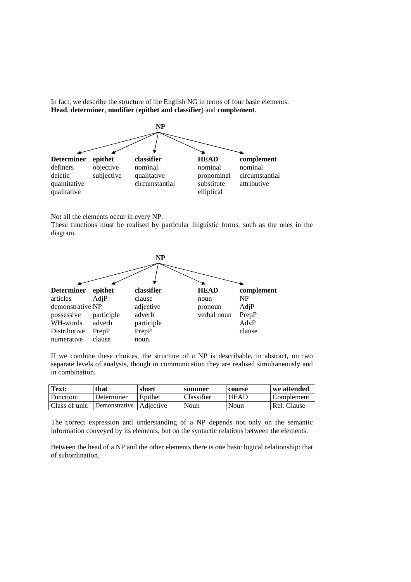In fact, we describe the structure of the English NG in terms of four basic elements: **Head**, **determiner**, **modifier** (**epithet and classifier**) and **complement**.



Not all the elements occur in every NP.

These functions must be realised by particular linguistic forms, such as the ones in the diagram.



If we combine these choices, the structure of a NP is describable, in abstract, on two separate levels of analysis, though in communication they are realised simultaneously and in combination.

| Text:          | that                      | short   | summer     | course      | we attended |
|----------------|---------------------------|---------|------------|-------------|-------------|
| Function:      | Determiner                | Epithet | Classifier | <b>HEAD</b> | Complement  |
| Class of unit: | Demonstrative   Adjective |         | Noun       | Noun        | Rel. Clause |

The correct expression and understanding of a NP depends not only on the semantic information conveyed by its elements, but on the syntactic relations between the elements.

Between the head of a NP and the other elements there is one basic logical relationship: that of subordination.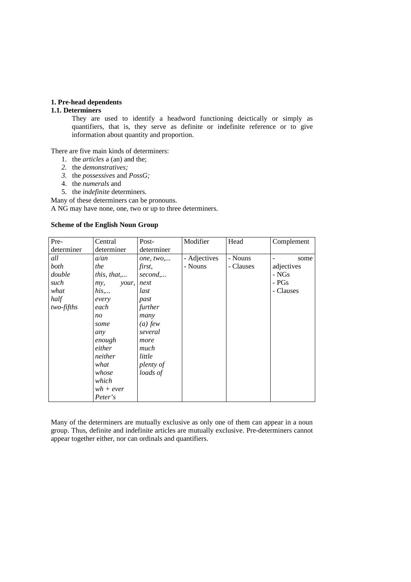# **1. Pre-head dependents**

# **1.1. Determiners**

They are used to identify a headword functioning deictically or simply as quantifiers, that is, they serve as definite or indefinite reference or to give information about quantity and proportion.

There are five main kinds of determiners:

- 1. the *articles* a (an) and the;
- *2.* the *demonstratives;*
- *3.* the *possessives* and *PossG;*
- 4. the *numerals* and
- 5. the *indefinite* determiners.

Many of these determiners can be pronouns.

A NG may have none, one, two or up to three determiners.

## **Scheme of the English Noun Group**

| Pre-       | Central      | Post-      | Modifier     | Head      | Complement |
|------------|--------------|------------|--------------|-----------|------------|
| determiner | determiner   | determiner |              |           |            |
| all        | a/an         | one, two   | - Adjectives | - Nouns   | some       |
| both       | the          | first,     | - Nouns      | - Clauses | adjectives |
| double     | this, that,  | second,    |              |           | - NGs      |
| such       | your,<br>my, | next       |              |           | - PGs      |
| what       | his          | last       |              |           | - Clauses  |
| half       | every        | past       |              |           |            |
| two-fifths | each         | further    |              |           |            |
|            | no           | many       |              |           |            |
|            | some         | $(a)$ few  |              |           |            |
|            | any          | several    |              |           |            |
|            | enough       | more       |              |           |            |
|            | either       | much       |              |           |            |
|            | neither      | little     |              |           |            |
|            | what         | plenty of  |              |           |            |
|            | whose        | loads of   |              |           |            |
|            | which        |            |              |           |            |
|            | $wh+ever$    |            |              |           |            |
|            | Peter's      |            |              |           |            |

Many of the determiners are mutually exclusive as only one of them can appear in a noun group. Thus, definite and indefinite articles are mutually exclusive. Pre-determiners cannot appear together either, nor can ordinals and quantifiers.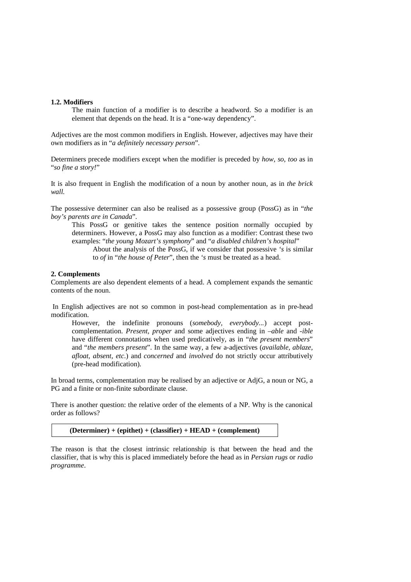#### **1.2. Modifiers**

The main function of a modifier is to describe a headword. So a modifier is an element that depends on the head. It is a "one-way dependency".

Adjectives are the most common modifiers in English. However, adjectives may have their own modifiers as in "*a definitely necessary person*".

Determiners precede modifiers except when the modifier is preceded by *how*, *so*, *too* as in "*so fine a story!*"

It is also frequent in English the modification of a noun by another noun, as in *the brick wall.* 

The possessive determiner can also be realised as a possessive group (PossG) as in "*the boy's parents are in Canada*".

This PossG or genitive takes the sentence position normally occupied by determiners. However, a PossG may also function as a modifier: Contrast these two examples: "*the young Mozart's symphony*" and "*a disabled children's hospital*"

About the analysis of the PossG, if we consider that possessive *'s* is similar to *of* in "*the house of Peter*", then the *'s* must be treated as a head.

#### **2. Complements**

Complements are also dependent elements of a head. A complement expands the semantic contents of the noun.

 In English adjectives are not so common in post-head complementation as in pre-head modification.

However, the indefinite pronouns (*somebody, everybody...*) accept postcomplementation. *Present, proper* and some adjectives ending in *–able* and *-ible* have different connotations when used predicatively, as in "*the present members*" and "*the members present*". In the same way, a few a-adjectives (*available, ablaze, afloat, absent, etc*.) and *concerned* and *involved* do not strictly occur attributively (pre-head modification).

In broad terms, complementation may be realised by an adjective or AdjG, a noun or NG, a PG and a finite or non-finite subordinate clause.

There is another question: the relative order of the elements of a NP. Why is the canonical order as follows?

**(Determiner) + (epithet) + (classifier) + HEAD + (complement)**

The reason is that the closest intrinsic relationship is that between the head and the classifier, that is why this is placed immediately before the head as in *Persian rugs* or *radio programme*.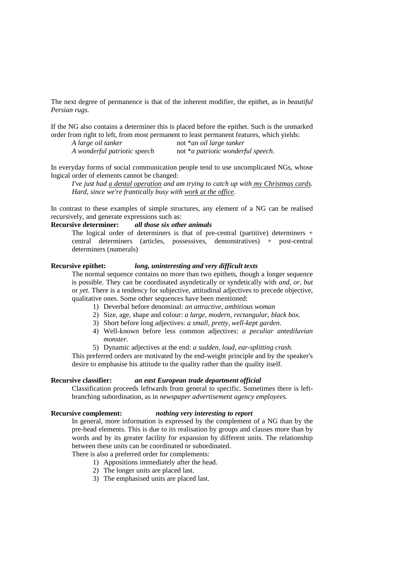The next degree of permanence is that of the inherent modifier, the epithet, as in *beautiful Persian rugs*.

If the NG also contains a determiner this is placed before the epithet. Such is the unmarked order from right to left, from most permanent to least permanent features, which yields:

| A large oil tanker           | not *an oil large tanker           |
|------------------------------|------------------------------------|
| A wonderful patriotic speech | not *a patriotic wonderful speech. |

In everyday forms of social communication people tend to use uncomplicated NGs, whose logical order of elements cannot be changed:

*I've just had a dental operation and am trying to catch up with my Christmas cards. Hard, since we're frantically busy with work at the office.*

In contrast to these examples of simple structures, any element of a NG can be realised recursively, and generate expressions such as:

# **Recursive determiner:** *all those six other animals*

The logical order of determiners is that of pre-central (partitive) determiners  $+$ central determiners (articles, possessives, demonstratives) + post-central determiners (numerals)

# **Recursive epithet:** *long, uninteresting and very difficult texts*

The normal sequence contains no more than two epithets, though a longer sequence is possible. They can be coordinated asyndetically or syndetically with *and, or, but* or *yet*. There is a tendency for subjective, attitudinal adjectives to precede objective, qualitative ones. Some other sequences have been mentioned:

- 1) Deverbal before denominal: *an attractive, ambitious woman*
- 2) Size, age, shape and colour: *a large, modern, rectangular, black box.*
- 3) Short before long adjectives: *a small, pretty, well-kept garden*.
- 4) Well-known before less common adjectives: *a peculiar antediluvian monster.*
- 5) Dynamic adjectives at the end: *a sudden, loud, ear-splitting crash.*

This preferred orders are motivated by the end-weight principle and by the speaker's desire to emphasise his attitude to the quality rather than the quality itself.

#### **Recursive classifier:** *an east European trade department official*

Classification proceeds leftwards from general to specific. Sometimes there is leftbranching subordination, as in *newspaper advertisement agency employees*.

#### **Recursive complement:** *nothing very interesting to report*

In general, more information is expressed by the complement of a NG than by the pre-head elements. This is due to its realisation by groups and clauses more than by words and by its greater facility for expansion by different units. The relationship between these units can be coordinated or subordinated.

There is also a preferred order for complements:

- 1) Appositions immediately after the head.
- 2) The longer units are placed last.
- 3) The emphasised units are placed last.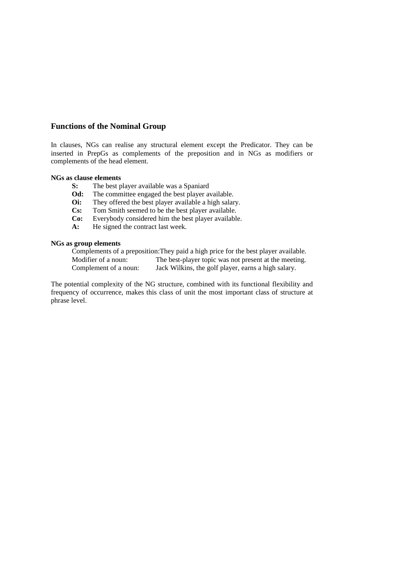# **Functions of the Nominal Group**

In clauses, NGs can realise any structural element except the Predicator. They can be inserted in PrepGs as complements of the preposition and in NGs as modifiers or complements of the head element.

# **NGs as clause elements**

- **S:** The best player available was a Spaniard
- **Od:** The committee engaged the best player available.<br> **Oi:** They offered the best player available a high salar
- They offered the best player available a high salary.
- **Cs:** Tom Smith seemed to be the best player available.
- **Co:** Everybody considered him the best player available.
- **A:** He signed the contract last week.

### **NGs as group elements**

Complements of a preposition:They paid a high price for the best player available. Modifier of a noun: The best-player topic was not present at the meeting. Complement of a noun: Jack Wilkins, the golf player, earns a high salary.

The potential complexity of the NG structure, combined with its functional flexibility and frequency of occurrence, makes this class of unit the most important class of structure at phrase level.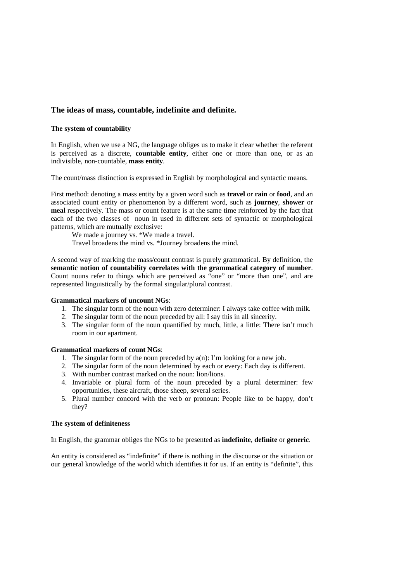# **The ideas of mass, countable, indefinite and definite.**

# **The system of countability**

In English, when we use a NG, the language obliges us to make it clear whether the referent is perceived as a discrete, **countable entity**, either one or more than one, or as an indivisible, non-countable, **mass entity**.

The count/mass distinction is expressed in English by morphological and syntactic means.

First method: denoting a mass entity by a given word such as **travel** or **rain** or **food**, and an associated count entity or phenomenon by a different word, such as **journey**, **shower** or **meal** respectively. The mass or count feature is at the same time reinforced by the fact that each of the two classes of noun in used in different sets of syntactic or morphological patterns, which are mutually exclusive:

We made a journey vs. \*We made a travel. Travel broadens the mind vs. \*Journey broadens the mind.

A second way of marking the mass/count contrast is purely grammatical. By definition, the **semantic notion of countability correlates with the grammatical category of number**. Count nouns refer to things which are perceived as "one" or "more than one", and are represented linguistically by the formal singular/plural contrast.

# **Grammatical markers of uncount NGs**:

- 1. The singular form of the noun with zero determiner: I always take coffee with milk.
- 2. The singular form of the noun preceded by all: I say this in all sincerity.
- 3. The singular form of the noun quantified by much, little, a little: There isn't much room in our apartment.

# **Grammatical markers of count NGs**:

- 1. The singular form of the noun preceded by a(n): I'm looking for a new job.
- 2. The singular form of the noun determined by each or every: Each day is different.
- 3. With number contrast marked on the noun: lion/lions.
- 4. Invariable or plural form of the noun preceded by a plural determiner: few opportunities, these aircraft, those sheep, several series.
- 5. Plural number concord with the verb or pronoun: People like to be happy, don't they?

# **The system of definiteness**

In English, the grammar obliges the NGs to be presented as **indefinite**, **definite** or **generic**.

An entity is considered as "indefinite" if there is nothing in the discourse or the situation or our general knowledge of the world which identifies it for us. If an entity is "definite", this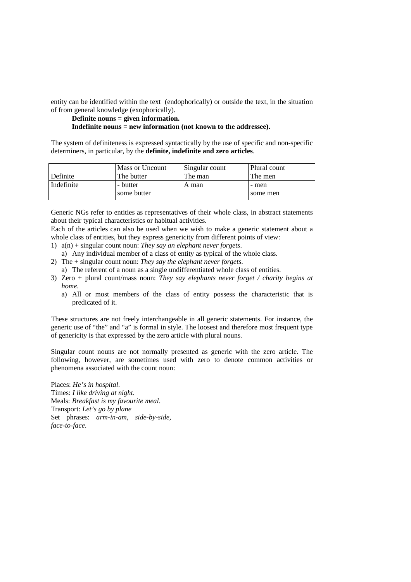entity can be identified within the text (endophorically) or outside the text, in the situation of from general knowledge (exophorically).

**Definite nouns = given information. Indefinite nouns = new information (not known to the addressee).** 

The system of definiteness is expressed syntactically by the use of specific and non-specific determiners, in particular, by the **definite, indefinite and zero articles**.

|            | Mass or Uncount       | Singular count | Plural count      |
|------------|-----------------------|----------------|-------------------|
| Definite   | The butter            | The man        | The men           |
| Indefinite | butter<br>some butter | A man          | - men<br>some men |

Generic NGs refer to entities as representatives of their whole class, in abstract statements about their typical characteristics or habitual activities.

Each of the articles can also be used when we wish to make a generic statement about a whole class of entities, but they express genericity from different points of view:

- 1) a(n) + singular count noun: *They say an elephant never forgets*. a) Any individual member of a class of entity as typical of the whole class.
- 2) The + singular count noun: *They say the elephant never forgets*.
	- a) The referent of a noun as a single undifferentiated whole class of entities.
- 3) Zero + plural count/mass noun: *They say elephants never forget / charity begins at home*.
	- a) All or most members of the class of entity possess the characteristic that is predicated of it.

These structures are not freely interchangeable in all generic statements. For instance, the generic use of "the" and "a" is formal in style. The loosest and therefore most frequent type of genericity is that expressed by the zero article with plural nouns.

Singular count nouns are not normally presented as generic with the zero article. The following, however, are sometimes used with zero to denote common activities or phenomena associated with the count noun:

Places: *He's in hospital*. Times: *I like driving at night*. Meals: *Breakfast is my favourite meal*. Transport: *Let's go by plane* Set phrases: *arm-in-am, side-by-side, face-to-face*.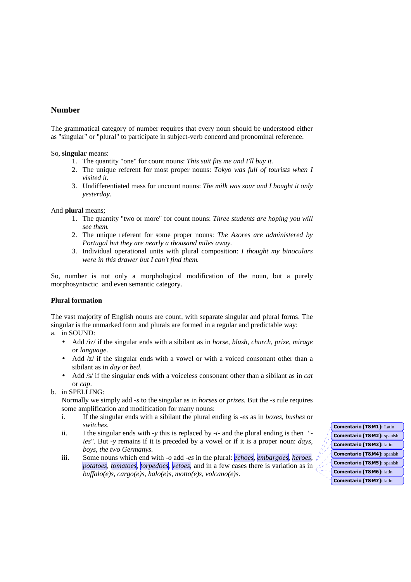# **Number**

The grammatical category of number requires that every noun should be understood either as "singular" or "plural" to participate in subject-verb concord and pronominal reference.

# So, **singular** means:

- 1. The quantity "one" for count nouns: *This suit fits me and I'll buy it.*
- 2. The unique referent for most proper nouns: *Tokyo was full of tourists when I visited it.*
- 3. Undifferentiated mass for uncount nouns: *The milk was sour and I bought it only yesterday.*

And **plural** means;

- 1. The quantity "two or more" for count nouns: *Three students are hoping you will see them.*
- 2. The unique referent for some proper nouns: *The Azores are administered by Portugal but they are nearly a thousand miles away.*
- 3. Individual operational units with plural composition: *I thought my binoculars were in this drawer but I can't find them.*

So, number is not only a morphological modification of the noun, but a purely morphosyntactic and even semantic category.

# **Plural formation**

The vast majority of English nouns are count, with separate singular and plural forms. The singular is the unmarked form and plurals are formed in a regular and predictable way:

- a. in SOUND:
	- Add /iz/ if the singular ends with a sibilant as in *horse, blush, church, prize, mirage*  or *language*.
	- Add  $\sqrt{z}$  if the singular ends with a vowel or with a voiced consonant other than a sibilant as in *day* or *bed*.
	- Add /s/ if the singular ends with a voiceless consonant other than a sibilant as in *cat* or *cap*.
- b. in SPELLING:

Normally we simply add *-s* to the singular as in *horses* or *prizes*. But the -s rule requires some amplification and modification for many nouns:

- i. If the singular ends with a sibilant the plural ending is -*es* as in *boxes, bushes* or *switches*.
- ii. I the singular ends with *-y* this is replaced by -*i-* and the plural ending is then *" ies"*. But *-y* remains if it is preceded by a vowel or if it is a proper noun: *days, boys, the two Germanys*.
- iii. Some nouns which end with *-o* add *-es* in the plural: *echoes, embargoes, heroes, potatoes, tomatoes, torpedoes, vetoes*, and in a few cases there is variation as in *buffalo(e)s, cargo(e)s, halo(e)s, motto(e)s, volcano(e)s*.

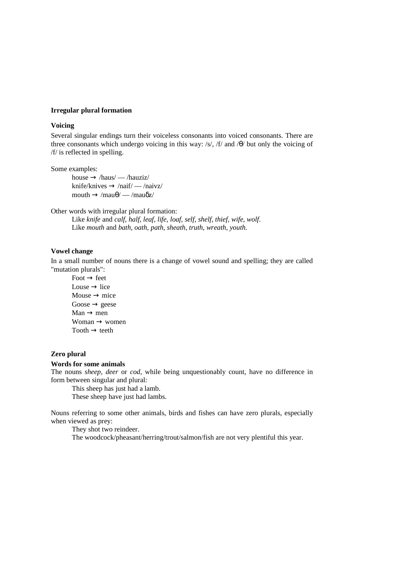# **Irregular plural formation**

# **Voicing**

Several singular endings turn their voiceless consonants into voiced consonants. There are three consonants which undergo voicing in this way: /s/, /f/ and /θ/ but only the voicing of /f/ is reflected in spelling.

Some examples:

house  $\rightarrow$  /haus/ — /hauziz/ knife/knives  $\rightarrow$  /naif/ — /naivz/ mouth  $\rightarrow$  /mau $\theta$ / — /mau $\delta$ z/

Other words with irregular plural formation:

Like *knife* and *calf, half, leaf, life, loaf, self, shelf, thief, wife, wolf*. Like *mouth* and *bath, oath, path, sheath, truth, wreath, youth*.

## **Vowel change**

In a small number of nouns there is a change of vowel sound and spelling; they are called "mutation plurals":

 $Food \rightarrow feet$ Louse  $\rightarrow$  lice Mouse  $\rightarrow$  mice  $Goose \rightarrow geese$  $Man \rightarrow men$ Woman  $\rightarrow$  women  $Tooth \rightarrow \text{teeth}$ 

# **Zero plural**

#### **Words for some animals**

The nouns *sheep, deer* or *cod*, while being unquestionably count, have no difference in form between singular and plural:

This sheep has just had a lamb. These sheep have just had lambs.

Nouns referring to some other animals, birds and fishes can have zero plurals, especially when viewed as prey:

They shot two reindeer.

The woodcock/pheasant/herring/trout/salmon/fish are not very plentiful this year.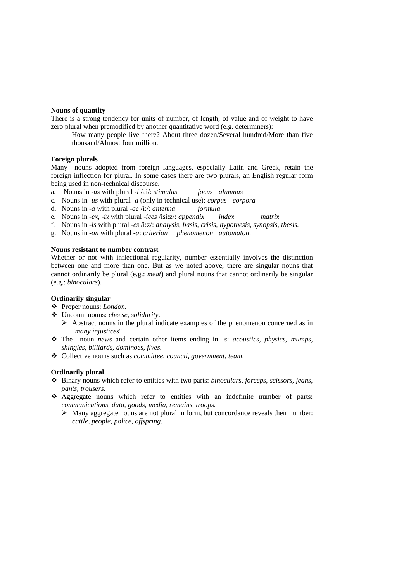## **Nouns of quantity**

There is a strong tendency for units of number, of length, of value and of weight to have zero plural when premodified by another quantitative word (e.g. determiners):

How many people live there? About three dozen/Several hundred/More than five thousand/Almost four million.

### **Foreign plurals**

Many nouns adopted from foreign languages, especially Latin and Greek, retain the foreign inflection for plural. In some cases there are two plurals, an English regular form being used in non-technical discourse.

- a. Nouns in -*us* with plural *-i* /ai/: *stimulus focus alumnus*
- c. Nouns in *-us* with plural *-a* (only in technical use): *corpus corpora*
- d. Nouns in *-a* with plural *-ae* /i:/: *antenna formula*
- e. Nouns in *-ex, -ix* with plural *-ices* /isi:z/: *appendix index matrix*
- f. Nouns in *-is* with plural *-es* /i:z/: *analysis, basis, crisis, hypothesis, synopsis, thesis.*
- g. Nouns in *-on* with plural *-a*: *criterion phenomenon automaton*.

#### **Nouns resistant to number contrast**

Whether or not with inflectional regularity, number essentially involves the distinction between one and more than one. But as we noted above, there are singular nouns that cannot ordinarily be plural (e.g.: *meat*) and plural nouns that cannot ordinarily be singular (e.g.: *binoculars*).

# **Ordinarily singular**

- Proper nouns: *London*.
- Uncount nouns: *cheese, solidarity*.
	- > Abstract nouns in the plural indicate examples of the phenomenon concerned as in "*many injustices*"
- The noun *news* and certain other items ending in *-s*: *acoustics, physics, mumps, shingles, billiards, dominoes, fives*.
- Collective nouns such as *committee, council, government, team*.

# **Ordinarily plural**

- Binary nouns which refer to entities with two parts: *binoculars, forceps, scissors, jeans, pants, trousers.*
- Aggregate nouns which refer to entities with an indefinite number of parts: *communications, data, goods, media, remains, troops.*
	- > Many aggregate nouns are not plural in form, but concordance reveals their number: *cattle, people, police, offspring*.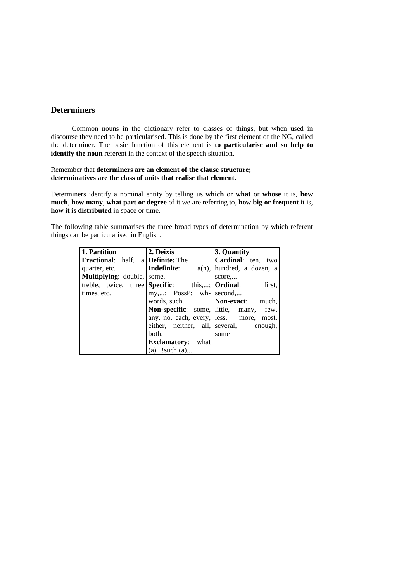# **Determiners**

Common nouns in the dictionary refer to classes of things, but when used in discourse they need to be particularised. This is done by the first element of the NG, called the determiner. The basic function of this element is **to particularise and so help to identify the noun** referent in the context of the speech situation.

# Remember that **determiners are an element of the clause structure; determinatives are the class of units that realise that element.**

Determiners identify a nominal entity by telling us **which** or **what** or **whose** it is, **how much**, **how many**, **what part or degree** of it we are referring to, **how big or frequent** it is, **how it is distributed** in space or time.

The following table summarises the three broad types of determination by which referent things can be particularised in English.

| 1. Partition                                    | 2. Deixis                                               | 3. Quantity                                   |
|-------------------------------------------------|---------------------------------------------------------|-----------------------------------------------|
| <b>Fractional:</b> half, a <b>Definite:</b> The |                                                         | Cardinal: ten, two                            |
| quarter, etc.                                   | Indefinite:                                             | $a(n)$ , hundred, a dozen, a                  |
| <b>Multiplying:</b> double, some.               |                                                         | score                                         |
|                                                 | treble, twice, three Specific: this,; $\text{Ordinal:}$ | first,                                        |
| times, etc.                                     | $my,;$ PossP; wh- second,                               |                                               |
|                                                 | words, such.                                            | Non-exact: much,                              |
|                                                 |                                                         | <b>Non-specific:</b> some, little, many, few, |
|                                                 |                                                         | any, no, each, every, less, more, most,       |
|                                                 |                                                         | either, neither, all, several, enough,        |
|                                                 | both.                                                   | some                                          |
|                                                 | <b>Exclamatory:</b><br>what                             |                                               |
|                                                 | $(a)$ !such $(a)$                                       |                                               |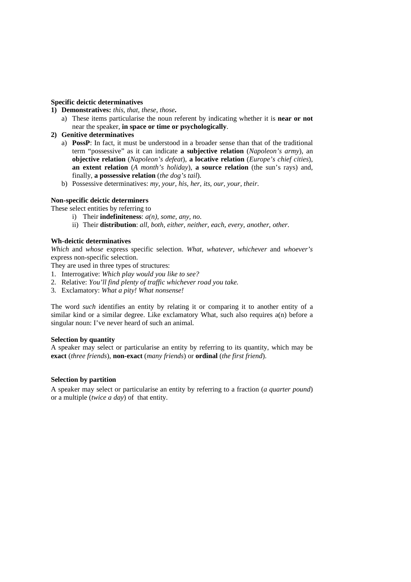# **Specific deictic determinatives**

- **1) Demonstratives:** *this, that, these, those***.** 
	- a) These items particularise the noun referent by indicating whether it is **near or not** near the speaker, **in space or time or psychologically**.
- **2) Genitive determinatives** 
	- a) **PossP**: In fact, it must be understood in a broader sense than that of the traditional term "possessive" as it can indicate **a subjective relation** (*Napoleon's army*), an **objective relation** (*Napoleon's defeat*), **a locative relation** (*Europe's chief cities*), **an extent relation** (*A month's holiday*), **a source relation** (the sun's rays) and, finally, **a possessive relation** (*the dog's tail*).
	- b) Possessive determinatives: *my, your, his, her, its, our, your, their*.

# **Non-specific deictic determiners**

These select entities by referring to

- i) Their **indefiniteness**: *a(n), some, any, no*.
- ii) Their **distribution**: *all, both, either, neither, each, every, another, other*.

# **Wh-deictic determinatives**

*Which* and *whose* express specific selection. *What, whatever, whichever* and *whoever's* express non-specific selection.

They are used in three types of structures:

- 1. Interrogative: *Which play would you like to see?*
- 2. Relative: *You'll find plenty of traffic whichever road you take.*
- 3. Exclamatory: *What a pity! What nonsense!*

The word *such* identifies an entity by relating it or comparing it to another entity of a similar kind or a similar degree. Like exclamatory What, such also requires a(n) before a singular noun: I've never heard of such an animal.

# **Selection by quantity**

A speaker may select or particularise an entity by referring to its quantity, which may be **exact** (*three friends*), **non-exact** (*many friends*) or **ordinal** (*the first friend*).

# **Selection by partition**

A speaker may select or particularise an entity by referring to a fraction (*a quarter pound*) or a multiple (*twice a day*) of that entity.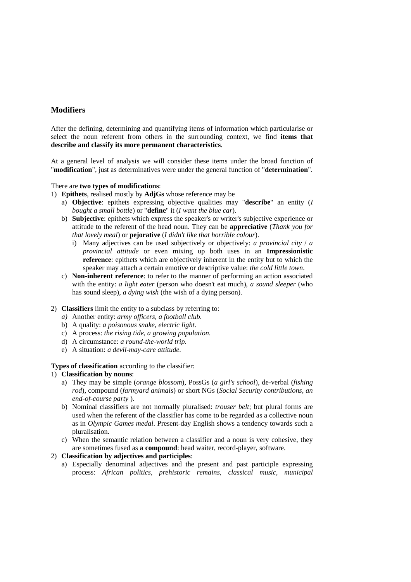# **Modifiers**

After the defining, determining and quantifying items of information which particularise or select the noun referent from others in the surrounding context, we find **items that describe and classify its more permanent characteristics**.

At a general level of analysis we will consider these items under the broad function of "**modification**", just as determinatives were under the general function of "**determination**".

### There are **two types of modifications**:

- 1) **Epithets**, realised mostly by **AdjGs** whose reference may be
	- a) **Objective**: epithets expressing objective qualities may "**describe**" an entity (*I bought a small bottle*) or "**define**" it (*I want the blue car*).
	- b) **Subjective**: epithets which express the speaker's or writer's subjective experience or attitude to the referent of the head noun. They can be **appreciative** (*Thank you for that lovely meal*) or **pejorative** (*I didn't like that horrible colour*).
		- i) Many adjectives can be used subjectively or objectively: *a provincial city* / *a provincial attitude* or even mixing up both uses in an **Impressionistic reference**: epithets which are objectively inherent in the entity but to which the speaker may attach a certain emotive or descriptive value: *the cold little town*.
	- c) **Non-inherent reference**: to refer to the manner of performing an action associated with the entity: *a light eater* (person who doesn't eat much), *a sound sleeper* (who has sound sleep), *a dying wish* (the wish of a dying person).

# 2) **Classifiers** limit the entity to a subclass by referring to:

- *a)* Another entity: *army officers, a football club.*
- b) A quality: *a poisonous snake, electric light*.
- c) A process: *the rising tide, a growing population*.
- d) A circumstance: *a round-the-world trip*.
- e) A situation: *a devil-may-care attitude*.

# **Types of classification** according to the classifier:

# 1) **Classification by nouns**:

- a) They may be simple (*orange blossom*), PossGs (*a girl's school*), de-verbal (*fishing rod*), compound (*farmyard animals*) or short NGs (*Social Security contributions, an end-of-course party* ).
- b) Nominal classifiers are not normally pluralised: *trouser belt*; but plural forms are used when the referent of the classifier has come to be regarded as a collective noun as in *Olympic Games medal*. Present-day English shows a tendency towards such a pluralisation.
- c) When the semantic relation between a classifier and a noun is very cohesive, they are sometimes fused as **a compound**: head waiter, record-player, software.

# 2) **Classification by adjectives and participles**:

a) Especially denominal adjectives and the present and past participle expressing process: *African politics, prehistoric remains, classical music, municipal*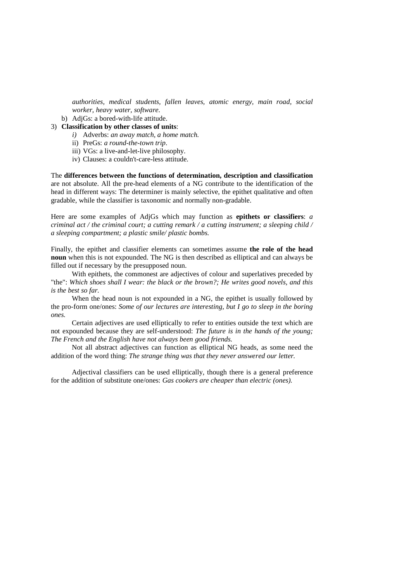*authorities, medical students, fallen leaves, atomic energy, main road, social worker, heavy water, software*.

- b) AdjGs: a bored-with-life attitude.
- 3) **Classification by other classes of units**:
	- *i)* Adverbs: *an away match, a home match.*
	- ii) PreGs: *a round-the-town trip*.
	- iii) VGs: a live-and-let-live philosophy.
	- iv) Clauses: a couldn't-care-less attitude.

The **differences between the functions of determination, description and classification**  are not absolute. All the pre-head elements of a NG contribute to the identification of the head in different ways: The determiner is mainly selective, the epithet qualitative and often gradable, while the classifier is taxonomic and normally non-gradable.

Here are some examples of AdjGs which may function as **epithets or classifiers**: *a criminal act / the criminal court; a cutting remark / a cutting instrument; a sleeping child / a sleeping compartment; a plastic smile/ plastic bombs.* 

Finally, the epithet and classifier elements can sometimes assume **the role of the head noun** when this is not expounded. The NG is then described as elliptical and can always be filled out if necessary by the presupposed noun.

 With epithets, the commonest are adjectives of colour and superlatives preceded by "the": *Which shoes shall I wear: the black or the brown?; He writes good novels, and this is the best so far.* 

 When the head noun is not expounded in a NG, the epithet is usually followed by the pro-form one/ones: *Some of our lectures are interesting, but I go to sleep in the boring ones.* 

 Certain adjectives are used elliptically to refer to entities outside the text which are not expounded because they are self-understood: *The future is in the hands of the young; The French and the English have not always been good friends.* 

 Not all abstract adjectives can function as elliptical NG heads, as some need the addition of the word thing: *The strange thing was that they never answered our letter.* 

 Adjectival classifiers can be used elliptically, though there is a general preference for the addition of substitute one/ones: *Gas cookers are cheaper than electric (ones).*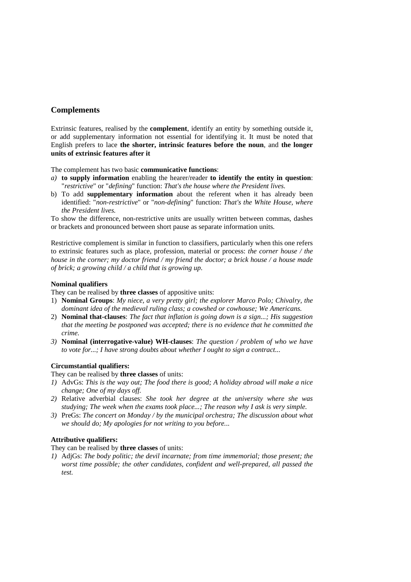# **Complements**

Extrinsic features, realised by the **complement**, identify an entity by something outside it, or add supplementary information not essential for identifying it. It must be noted that English prefers to lace **the shorter, intrinsic features before the noun**, and **the longer units of extrinsic features after it**

The complement has two basic **communicative functions**:

- *a)* **to supply information** enabling the hearer/reader **to identify the entity in question**: "*restrictive*" or "*defining*" function: *That's the house where the President lives.*
- b) To add **supplementary information** about the referent when it has already been identified: "*non-restrictive*" or "*non-defining*" function: *That's the White House, where the President lives.*

To show the difference, non-restrictive units are usually written between commas, dashes or brackets and pronounced between short pause as separate information units.

Restrictive complement is similar in function to classifiers, particularly when this one refers to extrinsic features such as place, profession, material or process: *the corner house / the house in the corner; my doctor friend / my friend the doctor; a brick house / a house made of brick; a growing child / a child that is growing up*.

# **Nominal qualifiers**

They can be realised by **three classes** of appositive units:

- 1) **Nominal Groups**: *My niece, a very pretty girl; the explorer Marco Polo; Chivalry, the dominant idea of the medieval ruling class; a cowshed or cowhouse; We Americans.*
- 2) **Nominal that-clauses**: *The fact that inflation is going down is a sign...; His suggestion that the meeting be postponed was accepted; there is no evidence that he committed the crime.*
- *3)* **Nominal (interrogative-value) WH-clauses**: *The question / problem of who we have to vote for...; I have strong doubts about whether I ought to sign a contract...*

# **Circumstantial qualifiers:**

They can be realised by **three classes** of units:

- *1)* AdvGs: *This is the way out; The food there is good; A holiday abroad will make a nice change; One of my days off.*
- *2)* Relative adverbial clauses: *She took her degree at the university where she was studying; The week when the exams took place...; The reason why I ask is very simple.*
- *3)* PreGs: *The concert on Monday / by the municipal orchestra; The discussion about what we should do; My apologies for not writing to you before...*

# **Attributive qualifiers:**

They can be realised by **three classes** of units:

*1)* AdjGs: *The body politic; the devil incarnate; from time immemorial; those present; the worst time possible; the other candidates, confident and well-prepared, all passed the test.*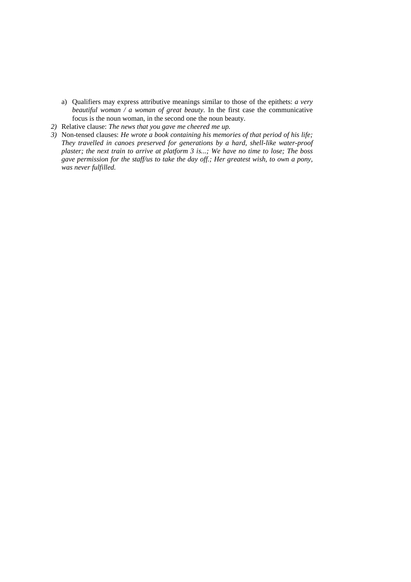- a) Qualifiers may express attributive meanings similar to those of the epithets: *a very beautiful woman / a woman of great beauty*. In the first case the communicative focus is the noun woman, in the second one the noun beauty.
- *2)* Relative clause: *The news that you gave me cheered me up.*
- *3)* Non-tensed clauses: *He wrote a book containing his memories of that period of his life; They travelled in canoes preserved for generations by a hard, shell-like water-proof plaster; the next train to arrive at platform 3 is...; We have no time to lose; The boss gave permission for the staff/us to take the day off.; Her greatest wish, to own a pony, was never fulfilled.*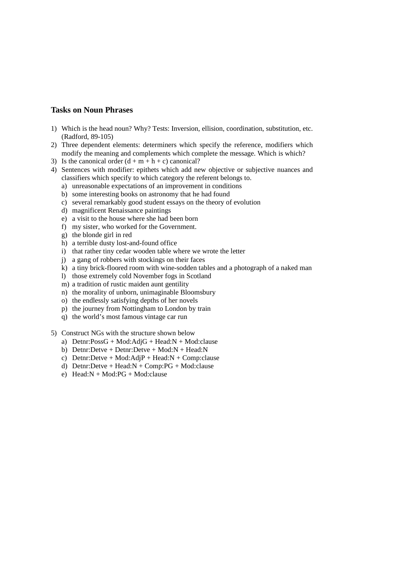# **Tasks on Noun Phrases**

- 1) Which is the head noun? Why? Tests: Inversion, ellision, coordination, substitution, etc. (Radford, 89-105)
- 2) Three dependent elements: determiners which specify the reference, modifiers which modify the meaning and complements which complete the message. Which is which?
- 3) Is the canonical order  $(d + m + h + c)$  canonical?
- 4) Sentences with modifier: epithets which add new objective or subjective nuances and classifiers which specify to which category the referent belongs to.
	- a) unreasonable expectations of an improvement in conditions
	- b) some interesting books on astronomy that he had found
	- c) several remarkably good student essays on the theory of evolution
	- d) magnificent Renaissance paintings
	- e) a visit to the house where she had been born
	- f) my sister, who worked for the Government.
	- g) the blonde girl in red
	- h) a terrible dusty lost-and-found office
	- i) that rather tiny cedar wooden table where we wrote the letter
	- j) a gang of robbers with stockings on their faces
	- k) a tiny brick-floored room with wine-sodden tables and a photograph of a naked man
	- l) those extremely cold November fogs in Scotland
	- m) a tradition of rustic maiden aunt gentility
	- n) the morality of unborn, unimaginable Bloomsbury
	- o) the endlessly satisfying depths of her novels
	- p) the journey from Nottingham to London by train
	- q) the world's most famous vintage car run
- 5) Construct NGs with the structure shown below
	- a)  $Detnr:PossG + Mod:AdjG + Head:N + Mod: clause$
	- b) Detnr:Detve + Detnr:Detve + Mod:N + Head:N
	- c) Detnr:Detve + Mod:AdjP + Head:N + Comp:clause
	- d) Detnr:Detve + Head:N + Comp:PG + Mod:clause
	- e)  $Head:N + Mod:PG + Mod: clause$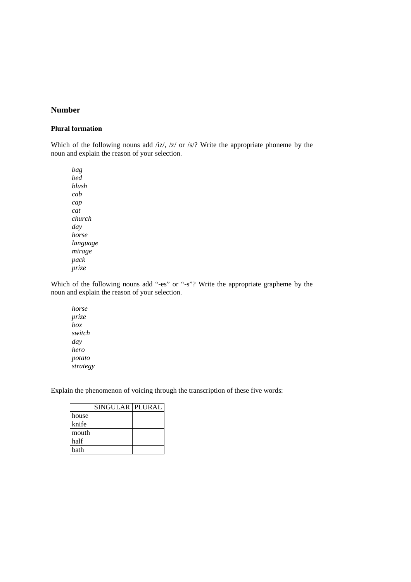# **Number**

# **Plural formation**

Which of the following nouns add /iz/, /z/ or /s/? Write the appropriate phoneme by the noun and explain the reason of your selection.

*bag bed blush cab cap cat church day horse language mirage pack prize* 

Which of the following nouns add "-es" or "-s"? Write the appropriate grapheme by the noun and explain the reason of your selection.

*horse prize box switch day hero potato strategy* 

Explain the phenomenon of voicing through the transcription of these five words:

|       | SINGULAR PLURAL |  |
|-------|-----------------|--|
| house |                 |  |
| knife |                 |  |
| mouth |                 |  |
| half  |                 |  |
| hath  |                 |  |